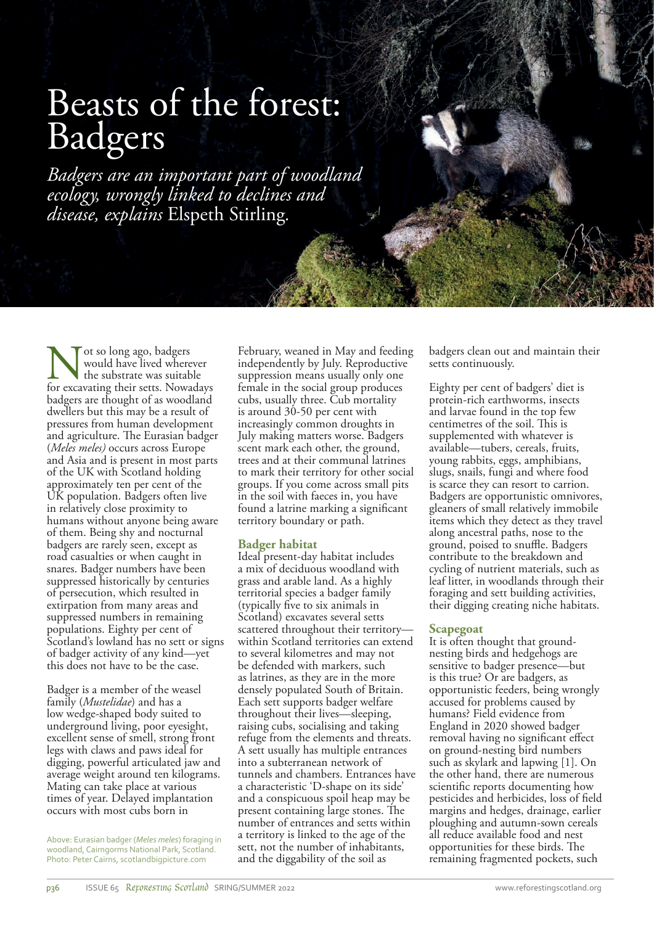# Beasts of the forest: Badgers

*Badgers are an important part of woodland ecology, wrongly linked to declines and disease, explains* Elspeth Stirling*.*

Mot so long ago, badgers<br>
would have lived wherever<br>
for excavating their setts. Nowadays would have lived wherever the substrate was suitable badgers are thought of as woodland dwellers but this may be a result of pressures from human development and agriculture. The Eurasian badger (*Meles meles)* occurs across Europe and Asia and is present in most parts of the UK with Scotland holding approximately ten per cent of the UK population. Badgers often live in relatively close proximity to humans without anyone being aware of them. Being shy and nocturnal badgers are rarely seen, except as road casualties or when caught in snares. Badger numbers have been suppressed historically by centuries of persecution, which resulted in extirpation from many areas and suppressed numbers in remaining populations. Eighty per cent of Scotland's lowland has no sett or signs of badger activity of any kind—yet this does not have to be the case.

Badger is a member of the weasel family (*Mustelidae*) and has a low wedge-shaped body suited to underground living, poor eyesight, excellent sense of smell, strong front legs with claws and paws ideal for digging, powerful articulated jaw and average weight around ten kilograms. Mating can take place at various times of year. Delayed implantation occurs with most cubs born in

Above: Eurasian badger (*Meles meles*) foraging in woodland, Cairngorms National Park, Scotland. Photo: Peter Cairns, scotlandbigpicture.com

February, weaned in May and feeding independently by July. Reproductive suppression means usually only one female in the social group produces cubs, usually three. Cub mortality is around 30-50 per cent with increasingly common droughts in July making matters worse. Badgers scent mark each other, the ground, trees and at their communal latrines to mark their territory for other social groups. If you come across small pits in the soil with faeces in, you have found a latrine marking a significant territory boundary or path.

## **Badger habitat**

Ideal present-day habitat includes a mix of deciduous woodland with grass and arable land. As a highly territorial species a badger family (typically five to six animals in Scotland) excavates several setts scattered throughout their territory within Scotland territories can extend to several kilometres and may not be defended with markers, such as latrines, as they are in the more densely populated South of Britain. Each sett supports badger welfare throughout their lives—sleeping, raising cubs, socialising and taking refuge from the elements and threats. A sett usually has multiple entrances into a subterranean network of tunnels and chambers. Entrances have a characteristic 'D-shape on its side' and a conspicuous spoil heap may be present containing large stones. The number of entrances and setts within a territory is linked to the age of the sett, not the number of inhabitants, and the diggability of the soil as

badgers clean out and maintain their setts continuously.

Eighty per cent of badgers' diet is protein-rich earthworms, insects and larvae found in the top few centimetres of the soil. This is supplemented with whatever is available—tubers, cereals, fruits, young rabbits, eggs, amphibians, slugs, snails, fungi and where food is scarce they can resort to carrion. Badgers are opportunistic omnivores, gleaners of small relatively immobile items which they detect as they travel along ancestral paths, nose to the ground, poised to snuffle. Badgers contribute to the breakdown and cycling of nutrient materials, such as leaf litter, in woodlands through their foraging and sett building activities, their digging creating niche habitats.

### **Scapegoat**

It is often thought that groundnesting birds and hedgehogs are sensitive to badger presence—but is this true? Or are badgers, as opportunistic feeders, being wrongly accused for problems caused by humans? Field evidence from England in 2020 showed badger removal having no significant effect on ground-nesting bird numbers such as skylark and lapwing [1]. On the other hand, there are numerous scientific reports documenting how pesticides and herbicides, loss of field margins and hedges, drainage, earlier ploughing and autumn-sown cereals all reduce available food and nest opportunities for these birds. The remaining fragmented pockets, such